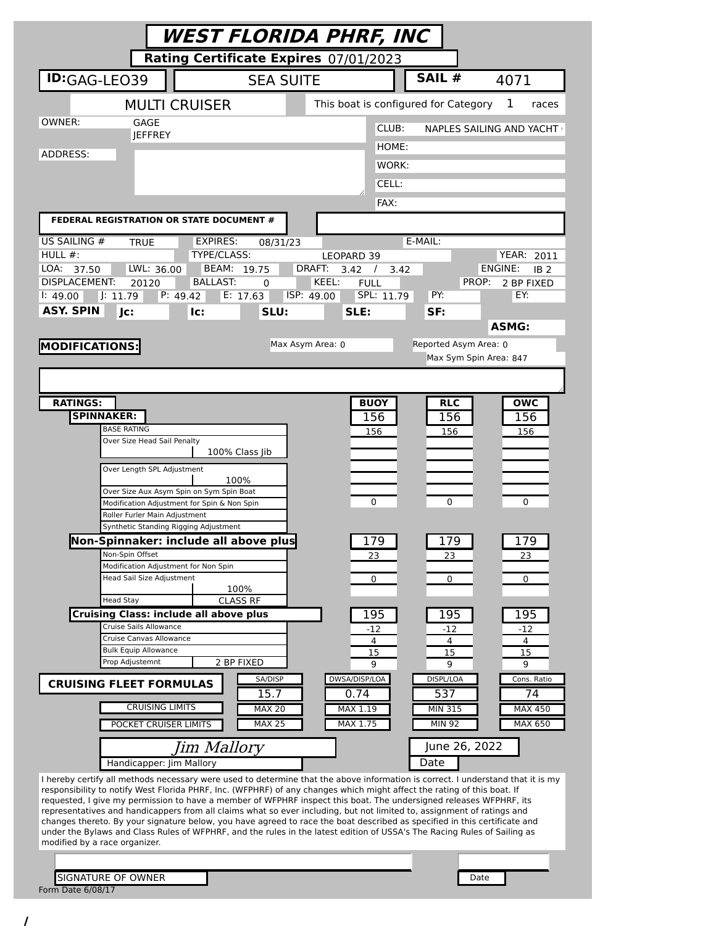| Rating Certificate Expires 07/01/2023<br>SAIL #<br><b>ID:</b> GAG-LEO39<br><b>SEA SUITE</b><br>4071<br>This boat is configured for Category<br><b>MULTI CRUISER</b><br>1<br>GAGE<br>CLUB:<br><b>NAPLES SAILING AND YACHT</b><br><b>IEFFREY</b><br>HOME:<br>WORK:<br>CELL:<br>FAX:<br>FEDERAL REGISTRATION OR STATE DOCUMENT #<br><b>EXPIRES:</b><br>E-MAIL:<br><b>TRUE</b><br>08/31/23<br>TYPE/CLASS:<br>LEOPARD 39<br>LWL: 36.00<br>BEAM: 19.75<br>DRAFT:<br>ENGINE:<br>37.50<br>3.42<br>IB <sub>2</sub><br>$\frac{1}{2}$<br>3.42<br><b>DISPLACEMENT:</b><br><b>BALLAST:</b><br>KEEL:<br><b>FULL</b><br>20120<br>PROP:<br>2 BP FIXED<br>0<br>SPL: 11.79<br>E: 17.63<br>PY:<br>EY:<br>$\sqrt{1:}11.79$<br>P: 49.42<br>ISP: 49.00<br>1:49.00<br><b>ASY. SPIN</b><br>Jc:<br>SLU:<br>SLE:<br>SF:<br>lc:<br><b>ASMG:</b><br>Max Asym Area: 0<br>Reported Asym Area: 0<br><b>MODIFICATIONS:</b><br>Max Sym Spin Area: 847<br><b>RATINGS:</b><br><b>BUOY</b><br><b>OWC</b><br><b>RLC</b><br><b>SPINNAKER:</b><br>156<br>156<br>156<br><b>BASE RATING</b><br>156<br>156<br>156<br>Over Size Head Sail Penalty<br>100% Class Jib<br>Over Length SPL Adjustment<br>100%<br>Over Size Aux Asym Spin on Sym Spin Boat<br>0<br>0<br>0<br>Modification Adjustment for Spin & Non Spin<br>Roller Furler Main Adjustment<br>Synthetic Standing Rigging Adjustment<br>Non-Spinnaker: include all above plus<br>$\frac{179}{2}$<br>179<br>179<br>Non-Spin Offset<br>23<br>23<br>23<br>Modification Adjustment for Non Spin<br><b>Head Sail Size Adjustment</b><br>0<br>0<br>0<br>100%<br><b>CLASS RF</b><br><b>Head Stay</b><br><b>Cruising Class: include all above plus</b><br>195<br>195<br>195<br>Cruise Sails Allowance<br>-12<br>-12<br>-12<br>Cruise Canvas Allowance<br>4<br>4<br>4<br><b>Bulk Equip Allowance</b><br>15<br>15<br>15<br>Prop Adjustemnt<br>2 BP FIXED<br>q<br>q<br>9<br>DWSA/DISP/LOA<br>SA/DISP<br>DISPL/LOA<br>Cons. Ratio<br><b>CRUISING FLEET FORMULAS</b><br>15.7<br>0.74<br>537<br>74<br><b>CRUISING LIMITS</b><br><b>MAX 20</b><br>MAX 1.19<br><b>MIN 315</b><br><b>MAX 450</b><br>MAX 1.75<br><b>MIN 92</b><br><b>MAX 25</b><br>MAX 650<br>POCKET CRUISER LIMITS<br>June 26, 2022<br>Jim Mallory<br>Date<br>Handicapper: Jim Mallory<br>I hereby certify all methods necessary were used to determine that the above information is correct. I understand that it is my<br>responsibility to notify West Florida PHRF, Inc. (WFPHRF) of any changes which might affect the rating of this boat. If<br>requested, I give my permission to have a member of WFPHRF inspect this boat. The undersigned releases WFPHRF, its<br>representatives and handicappers from all claims what so ever including, but not limited to, assignment of ratings and<br>changes thereto. By your signature below, you have agreed to race the boat described as specified in this certificate and<br>under the Bylaws and Class Rules of WFPHRF, and the rules in the latest edition of USSA's The Racing Rules of Sailing as<br>SIGNATURE OF OWNER<br>Date |                               | WEST FLORIDA PHRF, INC |  |                   |  |
|----------------------------------------------------------------------------------------------------------------------------------------------------------------------------------------------------------------------------------------------------------------------------------------------------------------------------------------------------------------------------------------------------------------------------------------------------------------------------------------------------------------------------------------------------------------------------------------------------------------------------------------------------------------------------------------------------------------------------------------------------------------------------------------------------------------------------------------------------------------------------------------------------------------------------------------------------------------------------------------------------------------------------------------------------------------------------------------------------------------------------------------------------------------------------------------------------------------------------------------------------------------------------------------------------------------------------------------------------------------------------------------------------------------------------------------------------------------------------------------------------------------------------------------------------------------------------------------------------------------------------------------------------------------------------------------------------------------------------------------------------------------------------------------------------------------------------------------------------------------------------------------------------------------------------------------------------------------------------------------------------------------------------------------------------------------------------------------------------------------------------------------------------------------------------------------------------------------------------------------------------------------------------------------------------------------------------------------------------------------------------------------------------------------------------------------------------------------------------------------------------------------------------------------------------------------------------------------------------------------------------------------------------------------------------------------------------------------------------------------------------------------------------------------------------------------------------------------------------------------------------------------------------------------------------------------------------------------------------------------------------------------------------------------------------------|-------------------------------|------------------------|--|-------------------|--|
|                                                                                                                                                                                                                                                                                                                                                                                                                                                                                                                                                                                                                                                                                                                                                                                                                                                                                                                                                                                                                                                                                                                                                                                                                                                                                                                                                                                                                                                                                                                                                                                                                                                                                                                                                                                                                                                                                                                                                                                                                                                                                                                                                                                                                                                                                                                                                                                                                                                                                                                                                                                                                                                                                                                                                                                                                                                                                                                                                                                                                                                          |                               |                        |  |                   |  |
|                                                                                                                                                                                                                                                                                                                                                                                                                                                                                                                                                                                                                                                                                                                                                                                                                                                                                                                                                                                                                                                                                                                                                                                                                                                                                                                                                                                                                                                                                                                                                                                                                                                                                                                                                                                                                                                                                                                                                                                                                                                                                                                                                                                                                                                                                                                                                                                                                                                                                                                                                                                                                                                                                                                                                                                                                                                                                                                                                                                                                                                          |                               |                        |  |                   |  |
|                                                                                                                                                                                                                                                                                                                                                                                                                                                                                                                                                                                                                                                                                                                                                                                                                                                                                                                                                                                                                                                                                                                                                                                                                                                                                                                                                                                                                                                                                                                                                                                                                                                                                                                                                                                                                                                                                                                                                                                                                                                                                                                                                                                                                                                                                                                                                                                                                                                                                                                                                                                                                                                                                                                                                                                                                                                                                                                                                                                                                                                          |                               |                        |  | races             |  |
|                                                                                                                                                                                                                                                                                                                                                                                                                                                                                                                                                                                                                                                                                                                                                                                                                                                                                                                                                                                                                                                                                                                                                                                                                                                                                                                                                                                                                                                                                                                                                                                                                                                                                                                                                                                                                                                                                                                                                                                                                                                                                                                                                                                                                                                                                                                                                                                                                                                                                                                                                                                                                                                                                                                                                                                                                                                                                                                                                                                                                                                          | OWNER:                        |                        |  |                   |  |
|                                                                                                                                                                                                                                                                                                                                                                                                                                                                                                                                                                                                                                                                                                                                                                                                                                                                                                                                                                                                                                                                                                                                                                                                                                                                                                                                                                                                                                                                                                                                                                                                                                                                                                                                                                                                                                                                                                                                                                                                                                                                                                                                                                                                                                                                                                                                                                                                                                                                                                                                                                                                                                                                                                                                                                                                                                                                                                                                                                                                                                                          | ADDRESS:                      |                        |  |                   |  |
|                                                                                                                                                                                                                                                                                                                                                                                                                                                                                                                                                                                                                                                                                                                                                                                                                                                                                                                                                                                                                                                                                                                                                                                                                                                                                                                                                                                                                                                                                                                                                                                                                                                                                                                                                                                                                                                                                                                                                                                                                                                                                                                                                                                                                                                                                                                                                                                                                                                                                                                                                                                                                                                                                                                                                                                                                                                                                                                                                                                                                                                          |                               |                        |  |                   |  |
|                                                                                                                                                                                                                                                                                                                                                                                                                                                                                                                                                                                                                                                                                                                                                                                                                                                                                                                                                                                                                                                                                                                                                                                                                                                                                                                                                                                                                                                                                                                                                                                                                                                                                                                                                                                                                                                                                                                                                                                                                                                                                                                                                                                                                                                                                                                                                                                                                                                                                                                                                                                                                                                                                                                                                                                                                                                                                                                                                                                                                                                          |                               |                        |  |                   |  |
|                                                                                                                                                                                                                                                                                                                                                                                                                                                                                                                                                                                                                                                                                                                                                                                                                                                                                                                                                                                                                                                                                                                                                                                                                                                                                                                                                                                                                                                                                                                                                                                                                                                                                                                                                                                                                                                                                                                                                                                                                                                                                                                                                                                                                                                                                                                                                                                                                                                                                                                                                                                                                                                                                                                                                                                                                                                                                                                                                                                                                                                          |                               |                        |  |                   |  |
|                                                                                                                                                                                                                                                                                                                                                                                                                                                                                                                                                                                                                                                                                                                                                                                                                                                                                                                                                                                                                                                                                                                                                                                                                                                                                                                                                                                                                                                                                                                                                                                                                                                                                                                                                                                                                                                                                                                                                                                                                                                                                                                                                                                                                                                                                                                                                                                                                                                                                                                                                                                                                                                                                                                                                                                                                                                                                                                                                                                                                                                          | US SAILING #                  |                        |  |                   |  |
|                                                                                                                                                                                                                                                                                                                                                                                                                                                                                                                                                                                                                                                                                                                                                                                                                                                                                                                                                                                                                                                                                                                                                                                                                                                                                                                                                                                                                                                                                                                                                                                                                                                                                                                                                                                                                                                                                                                                                                                                                                                                                                                                                                                                                                                                                                                                                                                                                                                                                                                                                                                                                                                                                                                                                                                                                                                                                                                                                                                                                                                          | HULL $#$ :                    |                        |  | <b>YEAR: 2011</b> |  |
|                                                                                                                                                                                                                                                                                                                                                                                                                                                                                                                                                                                                                                                                                                                                                                                                                                                                                                                                                                                                                                                                                                                                                                                                                                                                                                                                                                                                                                                                                                                                                                                                                                                                                                                                                                                                                                                                                                                                                                                                                                                                                                                                                                                                                                                                                                                                                                                                                                                                                                                                                                                                                                                                                                                                                                                                                                                                                                                                                                                                                                                          | LOA:                          |                        |  |                   |  |
|                                                                                                                                                                                                                                                                                                                                                                                                                                                                                                                                                                                                                                                                                                                                                                                                                                                                                                                                                                                                                                                                                                                                                                                                                                                                                                                                                                                                                                                                                                                                                                                                                                                                                                                                                                                                                                                                                                                                                                                                                                                                                                                                                                                                                                                                                                                                                                                                                                                                                                                                                                                                                                                                                                                                                                                                                                                                                                                                                                                                                                                          |                               |                        |  |                   |  |
|                                                                                                                                                                                                                                                                                                                                                                                                                                                                                                                                                                                                                                                                                                                                                                                                                                                                                                                                                                                                                                                                                                                                                                                                                                                                                                                                                                                                                                                                                                                                                                                                                                                                                                                                                                                                                                                                                                                                                                                                                                                                                                                                                                                                                                                                                                                                                                                                                                                                                                                                                                                                                                                                                                                                                                                                                                                                                                                                                                                                                                                          |                               |                        |  |                   |  |
|                                                                                                                                                                                                                                                                                                                                                                                                                                                                                                                                                                                                                                                                                                                                                                                                                                                                                                                                                                                                                                                                                                                                                                                                                                                                                                                                                                                                                                                                                                                                                                                                                                                                                                                                                                                                                                                                                                                                                                                                                                                                                                                                                                                                                                                                                                                                                                                                                                                                                                                                                                                                                                                                                                                                                                                                                                                                                                                                                                                                                                                          |                               |                        |  |                   |  |
|                                                                                                                                                                                                                                                                                                                                                                                                                                                                                                                                                                                                                                                                                                                                                                                                                                                                                                                                                                                                                                                                                                                                                                                                                                                                                                                                                                                                                                                                                                                                                                                                                                                                                                                                                                                                                                                                                                                                                                                                                                                                                                                                                                                                                                                                                                                                                                                                                                                                                                                                                                                                                                                                                                                                                                                                                                                                                                                                                                                                                                                          |                               |                        |  |                   |  |
|                                                                                                                                                                                                                                                                                                                                                                                                                                                                                                                                                                                                                                                                                                                                                                                                                                                                                                                                                                                                                                                                                                                                                                                                                                                                                                                                                                                                                                                                                                                                                                                                                                                                                                                                                                                                                                                                                                                                                                                                                                                                                                                                                                                                                                                                                                                                                                                                                                                                                                                                                                                                                                                                                                                                                                                                                                                                                                                                                                                                                                                          |                               |                        |  |                   |  |
|                                                                                                                                                                                                                                                                                                                                                                                                                                                                                                                                                                                                                                                                                                                                                                                                                                                                                                                                                                                                                                                                                                                                                                                                                                                                                                                                                                                                                                                                                                                                                                                                                                                                                                                                                                                                                                                                                                                                                                                                                                                                                                                                                                                                                                                                                                                                                                                                                                                                                                                                                                                                                                                                                                                                                                                                                                                                                                                                                                                                                                                          |                               |                        |  |                   |  |
|                                                                                                                                                                                                                                                                                                                                                                                                                                                                                                                                                                                                                                                                                                                                                                                                                                                                                                                                                                                                                                                                                                                                                                                                                                                                                                                                                                                                                                                                                                                                                                                                                                                                                                                                                                                                                                                                                                                                                                                                                                                                                                                                                                                                                                                                                                                                                                                                                                                                                                                                                                                                                                                                                                                                                                                                                                                                                                                                                                                                                                                          |                               |                        |  |                   |  |
|                                                                                                                                                                                                                                                                                                                                                                                                                                                                                                                                                                                                                                                                                                                                                                                                                                                                                                                                                                                                                                                                                                                                                                                                                                                                                                                                                                                                                                                                                                                                                                                                                                                                                                                                                                                                                                                                                                                                                                                                                                                                                                                                                                                                                                                                                                                                                                                                                                                                                                                                                                                                                                                                                                                                                                                                                                                                                                                                                                                                                                                          |                               |                        |  |                   |  |
|                                                                                                                                                                                                                                                                                                                                                                                                                                                                                                                                                                                                                                                                                                                                                                                                                                                                                                                                                                                                                                                                                                                                                                                                                                                                                                                                                                                                                                                                                                                                                                                                                                                                                                                                                                                                                                                                                                                                                                                                                                                                                                                                                                                                                                                                                                                                                                                                                                                                                                                                                                                                                                                                                                                                                                                                                                                                                                                                                                                                                                                          |                               |                        |  |                   |  |
|                                                                                                                                                                                                                                                                                                                                                                                                                                                                                                                                                                                                                                                                                                                                                                                                                                                                                                                                                                                                                                                                                                                                                                                                                                                                                                                                                                                                                                                                                                                                                                                                                                                                                                                                                                                                                                                                                                                                                                                                                                                                                                                                                                                                                                                                                                                                                                                                                                                                                                                                                                                                                                                                                                                                                                                                                                                                                                                                                                                                                                                          |                               |                        |  |                   |  |
|                                                                                                                                                                                                                                                                                                                                                                                                                                                                                                                                                                                                                                                                                                                                                                                                                                                                                                                                                                                                                                                                                                                                                                                                                                                                                                                                                                                                                                                                                                                                                                                                                                                                                                                                                                                                                                                                                                                                                                                                                                                                                                                                                                                                                                                                                                                                                                                                                                                                                                                                                                                                                                                                                                                                                                                                                                                                                                                                                                                                                                                          |                               |                        |  |                   |  |
|                                                                                                                                                                                                                                                                                                                                                                                                                                                                                                                                                                                                                                                                                                                                                                                                                                                                                                                                                                                                                                                                                                                                                                                                                                                                                                                                                                                                                                                                                                                                                                                                                                                                                                                                                                                                                                                                                                                                                                                                                                                                                                                                                                                                                                                                                                                                                                                                                                                                                                                                                                                                                                                                                                                                                                                                                                                                                                                                                                                                                                                          |                               |                        |  |                   |  |
|                                                                                                                                                                                                                                                                                                                                                                                                                                                                                                                                                                                                                                                                                                                                                                                                                                                                                                                                                                                                                                                                                                                                                                                                                                                                                                                                                                                                                                                                                                                                                                                                                                                                                                                                                                                                                                                                                                                                                                                                                                                                                                                                                                                                                                                                                                                                                                                                                                                                                                                                                                                                                                                                                                                                                                                                                                                                                                                                                                                                                                                          |                               |                        |  |                   |  |
|                                                                                                                                                                                                                                                                                                                                                                                                                                                                                                                                                                                                                                                                                                                                                                                                                                                                                                                                                                                                                                                                                                                                                                                                                                                                                                                                                                                                                                                                                                                                                                                                                                                                                                                                                                                                                                                                                                                                                                                                                                                                                                                                                                                                                                                                                                                                                                                                                                                                                                                                                                                                                                                                                                                                                                                                                                                                                                                                                                                                                                                          |                               |                        |  |                   |  |
|                                                                                                                                                                                                                                                                                                                                                                                                                                                                                                                                                                                                                                                                                                                                                                                                                                                                                                                                                                                                                                                                                                                                                                                                                                                                                                                                                                                                                                                                                                                                                                                                                                                                                                                                                                                                                                                                                                                                                                                                                                                                                                                                                                                                                                                                                                                                                                                                                                                                                                                                                                                                                                                                                                                                                                                                                                                                                                                                                                                                                                                          |                               |                        |  |                   |  |
|                                                                                                                                                                                                                                                                                                                                                                                                                                                                                                                                                                                                                                                                                                                                                                                                                                                                                                                                                                                                                                                                                                                                                                                                                                                                                                                                                                                                                                                                                                                                                                                                                                                                                                                                                                                                                                                                                                                                                                                                                                                                                                                                                                                                                                                                                                                                                                                                                                                                                                                                                                                                                                                                                                                                                                                                                                                                                                                                                                                                                                                          |                               |                        |  |                   |  |
|                                                                                                                                                                                                                                                                                                                                                                                                                                                                                                                                                                                                                                                                                                                                                                                                                                                                                                                                                                                                                                                                                                                                                                                                                                                                                                                                                                                                                                                                                                                                                                                                                                                                                                                                                                                                                                                                                                                                                                                                                                                                                                                                                                                                                                                                                                                                                                                                                                                                                                                                                                                                                                                                                                                                                                                                                                                                                                                                                                                                                                                          |                               |                        |  |                   |  |
|                                                                                                                                                                                                                                                                                                                                                                                                                                                                                                                                                                                                                                                                                                                                                                                                                                                                                                                                                                                                                                                                                                                                                                                                                                                                                                                                                                                                                                                                                                                                                                                                                                                                                                                                                                                                                                                                                                                                                                                                                                                                                                                                                                                                                                                                                                                                                                                                                                                                                                                                                                                                                                                                                                                                                                                                                                                                                                                                                                                                                                                          |                               |                        |  |                   |  |
|                                                                                                                                                                                                                                                                                                                                                                                                                                                                                                                                                                                                                                                                                                                                                                                                                                                                                                                                                                                                                                                                                                                                                                                                                                                                                                                                                                                                                                                                                                                                                                                                                                                                                                                                                                                                                                                                                                                                                                                                                                                                                                                                                                                                                                                                                                                                                                                                                                                                                                                                                                                                                                                                                                                                                                                                                                                                                                                                                                                                                                                          |                               |                        |  |                   |  |
|                                                                                                                                                                                                                                                                                                                                                                                                                                                                                                                                                                                                                                                                                                                                                                                                                                                                                                                                                                                                                                                                                                                                                                                                                                                                                                                                                                                                                                                                                                                                                                                                                                                                                                                                                                                                                                                                                                                                                                                                                                                                                                                                                                                                                                                                                                                                                                                                                                                                                                                                                                                                                                                                                                                                                                                                                                                                                                                                                                                                                                                          |                               |                        |  |                   |  |
|                                                                                                                                                                                                                                                                                                                                                                                                                                                                                                                                                                                                                                                                                                                                                                                                                                                                                                                                                                                                                                                                                                                                                                                                                                                                                                                                                                                                                                                                                                                                                                                                                                                                                                                                                                                                                                                                                                                                                                                                                                                                                                                                                                                                                                                                                                                                                                                                                                                                                                                                                                                                                                                                                                                                                                                                                                                                                                                                                                                                                                                          |                               |                        |  |                   |  |
|                                                                                                                                                                                                                                                                                                                                                                                                                                                                                                                                                                                                                                                                                                                                                                                                                                                                                                                                                                                                                                                                                                                                                                                                                                                                                                                                                                                                                                                                                                                                                                                                                                                                                                                                                                                                                                                                                                                                                                                                                                                                                                                                                                                                                                                                                                                                                                                                                                                                                                                                                                                                                                                                                                                                                                                                                                                                                                                                                                                                                                                          |                               |                        |  |                   |  |
|                                                                                                                                                                                                                                                                                                                                                                                                                                                                                                                                                                                                                                                                                                                                                                                                                                                                                                                                                                                                                                                                                                                                                                                                                                                                                                                                                                                                                                                                                                                                                                                                                                                                                                                                                                                                                                                                                                                                                                                                                                                                                                                                                                                                                                                                                                                                                                                                                                                                                                                                                                                                                                                                                                                                                                                                                                                                                                                                                                                                                                                          |                               |                        |  |                   |  |
|                                                                                                                                                                                                                                                                                                                                                                                                                                                                                                                                                                                                                                                                                                                                                                                                                                                                                                                                                                                                                                                                                                                                                                                                                                                                                                                                                                                                                                                                                                                                                                                                                                                                                                                                                                                                                                                                                                                                                                                                                                                                                                                                                                                                                                                                                                                                                                                                                                                                                                                                                                                                                                                                                                                                                                                                                                                                                                                                                                                                                                                          |                               |                        |  |                   |  |
|                                                                                                                                                                                                                                                                                                                                                                                                                                                                                                                                                                                                                                                                                                                                                                                                                                                                                                                                                                                                                                                                                                                                                                                                                                                                                                                                                                                                                                                                                                                                                                                                                                                                                                                                                                                                                                                                                                                                                                                                                                                                                                                                                                                                                                                                                                                                                                                                                                                                                                                                                                                                                                                                                                                                                                                                                                                                                                                                                                                                                                                          |                               |                        |  |                   |  |
|                                                                                                                                                                                                                                                                                                                                                                                                                                                                                                                                                                                                                                                                                                                                                                                                                                                                                                                                                                                                                                                                                                                                                                                                                                                                                                                                                                                                                                                                                                                                                                                                                                                                                                                                                                                                                                                                                                                                                                                                                                                                                                                                                                                                                                                                                                                                                                                                                                                                                                                                                                                                                                                                                                                                                                                                                                                                                                                                                                                                                                                          |                               |                        |  |                   |  |
|                                                                                                                                                                                                                                                                                                                                                                                                                                                                                                                                                                                                                                                                                                                                                                                                                                                                                                                                                                                                                                                                                                                                                                                                                                                                                                                                                                                                                                                                                                                                                                                                                                                                                                                                                                                                                                                                                                                                                                                                                                                                                                                                                                                                                                                                                                                                                                                                                                                                                                                                                                                                                                                                                                                                                                                                                                                                                                                                                                                                                                                          |                               |                        |  |                   |  |
|                                                                                                                                                                                                                                                                                                                                                                                                                                                                                                                                                                                                                                                                                                                                                                                                                                                                                                                                                                                                                                                                                                                                                                                                                                                                                                                                                                                                                                                                                                                                                                                                                                                                                                                                                                                                                                                                                                                                                                                                                                                                                                                                                                                                                                                                                                                                                                                                                                                                                                                                                                                                                                                                                                                                                                                                                                                                                                                                                                                                                                                          |                               |                        |  |                   |  |
|                                                                                                                                                                                                                                                                                                                                                                                                                                                                                                                                                                                                                                                                                                                                                                                                                                                                                                                                                                                                                                                                                                                                                                                                                                                                                                                                                                                                                                                                                                                                                                                                                                                                                                                                                                                                                                                                                                                                                                                                                                                                                                                                                                                                                                                                                                                                                                                                                                                                                                                                                                                                                                                                                                                                                                                                                                                                                                                                                                                                                                                          |                               |                        |  |                   |  |
|                                                                                                                                                                                                                                                                                                                                                                                                                                                                                                                                                                                                                                                                                                                                                                                                                                                                                                                                                                                                                                                                                                                                                                                                                                                                                                                                                                                                                                                                                                                                                                                                                                                                                                                                                                                                                                                                                                                                                                                                                                                                                                                                                                                                                                                                                                                                                                                                                                                                                                                                                                                                                                                                                                                                                                                                                                                                                                                                                                                                                                                          |                               |                        |  |                   |  |
|                                                                                                                                                                                                                                                                                                                                                                                                                                                                                                                                                                                                                                                                                                                                                                                                                                                                                                                                                                                                                                                                                                                                                                                                                                                                                                                                                                                                                                                                                                                                                                                                                                                                                                                                                                                                                                                                                                                                                                                                                                                                                                                                                                                                                                                                                                                                                                                                                                                                                                                                                                                                                                                                                                                                                                                                                                                                                                                                                                                                                                                          |                               |                        |  |                   |  |
|                                                                                                                                                                                                                                                                                                                                                                                                                                                                                                                                                                                                                                                                                                                                                                                                                                                                                                                                                                                                                                                                                                                                                                                                                                                                                                                                                                                                                                                                                                                                                                                                                                                                                                                                                                                                                                                                                                                                                                                                                                                                                                                                                                                                                                                                                                                                                                                                                                                                                                                                                                                                                                                                                                                                                                                                                                                                                                                                                                                                                                                          |                               |                        |  |                   |  |
|                                                                                                                                                                                                                                                                                                                                                                                                                                                                                                                                                                                                                                                                                                                                                                                                                                                                                                                                                                                                                                                                                                                                                                                                                                                                                                                                                                                                                                                                                                                                                                                                                                                                                                                                                                                                                                                                                                                                                                                                                                                                                                                                                                                                                                                                                                                                                                                                                                                                                                                                                                                                                                                                                                                                                                                                                                                                                                                                                                                                                                                          |                               |                        |  |                   |  |
|                                                                                                                                                                                                                                                                                                                                                                                                                                                                                                                                                                                                                                                                                                                                                                                                                                                                                                                                                                                                                                                                                                                                                                                                                                                                                                                                                                                                                                                                                                                                                                                                                                                                                                                                                                                                                                                                                                                                                                                                                                                                                                                                                                                                                                                                                                                                                                                                                                                                                                                                                                                                                                                                                                                                                                                                                                                                                                                                                                                                                                                          |                               |                        |  |                   |  |
|                                                                                                                                                                                                                                                                                                                                                                                                                                                                                                                                                                                                                                                                                                                                                                                                                                                                                                                                                                                                                                                                                                                                                                                                                                                                                                                                                                                                                                                                                                                                                                                                                                                                                                                                                                                                                                                                                                                                                                                                                                                                                                                                                                                                                                                                                                                                                                                                                                                                                                                                                                                                                                                                                                                                                                                                                                                                                                                                                                                                                                                          |                               |                        |  |                   |  |
|                                                                                                                                                                                                                                                                                                                                                                                                                                                                                                                                                                                                                                                                                                                                                                                                                                                                                                                                                                                                                                                                                                                                                                                                                                                                                                                                                                                                                                                                                                                                                                                                                                                                                                                                                                                                                                                                                                                                                                                                                                                                                                                                                                                                                                                                                                                                                                                                                                                                                                                                                                                                                                                                                                                                                                                                                                                                                                                                                                                                                                                          |                               |                        |  |                   |  |
|                                                                                                                                                                                                                                                                                                                                                                                                                                                                                                                                                                                                                                                                                                                                                                                                                                                                                                                                                                                                                                                                                                                                                                                                                                                                                                                                                                                                                                                                                                                                                                                                                                                                                                                                                                                                                                                                                                                                                                                                                                                                                                                                                                                                                                                                                                                                                                                                                                                                                                                                                                                                                                                                                                                                                                                                                                                                                                                                                                                                                                                          | modified by a race organizer. |                        |  |                   |  |
|                                                                                                                                                                                                                                                                                                                                                                                                                                                                                                                                                                                                                                                                                                                                                                                                                                                                                                                                                                                                                                                                                                                                                                                                                                                                                                                                                                                                                                                                                                                                                                                                                                                                                                                                                                                                                                                                                                                                                                                                                                                                                                                                                                                                                                                                                                                                                                                                                                                                                                                                                                                                                                                                                                                                                                                                                                                                                                                                                                                                                                                          |                               |                        |  |                   |  |
|                                                                                                                                                                                                                                                                                                                                                                                                                                                                                                                                                                                                                                                                                                                                                                                                                                                                                                                                                                                                                                                                                                                                                                                                                                                                                                                                                                                                                                                                                                                                                                                                                                                                                                                                                                                                                                                                                                                                                                                                                                                                                                                                                                                                                                                                                                                                                                                                                                                                                                                                                                                                                                                                                                                                                                                                                                                                                                                                                                                                                                                          |                               |                        |  |                   |  |
|                                                                                                                                                                                                                                                                                                                                                                                                                                                                                                                                                                                                                                                                                                                                                                                                                                                                                                                                                                                                                                                                                                                                                                                                                                                                                                                                                                                                                                                                                                                                                                                                                                                                                                                                                                                                                                                                                                                                                                                                                                                                                                                                                                                                                                                                                                                                                                                                                                                                                                                                                                                                                                                                                                                                                                                                                                                                                                                                                                                                                                                          | Form Date 6/08/17             |                        |  |                   |  |

/